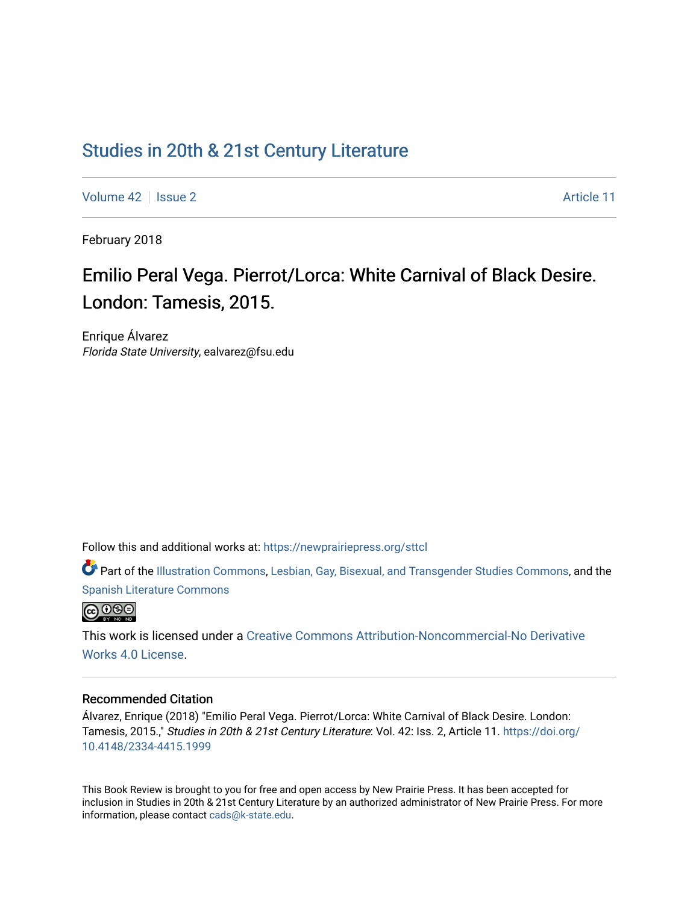# [Studies in 20th & 21st Century Literature](https://newprairiepress.org/sttcl)

[Volume 42](https://newprairiepress.org/sttcl/vol42) | [Issue 2](https://newprairiepress.org/sttcl/vol42/iss2) Article 11

February 2018

# Emilio Peral Vega. Pierrot/Lorca: White Carnival of Black Desire. London: Tamesis, 2015.

Enrique Álvarez Florida State University, ealvarez@fsu.edu

Follow this and additional works at: [https://newprairiepress.org/sttcl](https://newprairiepress.org/sttcl?utm_source=newprairiepress.org%2Fsttcl%2Fvol42%2Fiss2%2F11&utm_medium=PDF&utm_campaign=PDFCoverPages) 

Part of the [Illustration Commons,](http://network.bepress.com/hgg/discipline/1135?utm_source=newprairiepress.org%2Fsttcl%2Fvol42%2Fiss2%2F11&utm_medium=PDF&utm_campaign=PDFCoverPages) [Lesbian, Gay, Bisexual, and Transgender Studies Commons](http://network.bepress.com/hgg/discipline/560?utm_source=newprairiepress.org%2Fsttcl%2Fvol42%2Fiss2%2F11&utm_medium=PDF&utm_campaign=PDFCoverPages), and the [Spanish Literature Commons](http://network.bepress.com/hgg/discipline/550?utm_source=newprairiepress.org%2Fsttcl%2Fvol42%2Fiss2%2F11&utm_medium=PDF&utm_campaign=PDFCoverPages) 



This work is licensed under a [Creative Commons Attribution-Noncommercial-No Derivative](https://creativecommons.org/licenses/by-nc-nd/4.0/)  [Works 4.0 License](https://creativecommons.org/licenses/by-nc-nd/4.0/).

#### Recommended Citation

Álvarez, Enrique (2018) "Emilio Peral Vega. Pierrot/Lorca: White Carnival of Black Desire. London: Tamesis, 2015.," Studies in 20th & 21st Century Literature: Vol. 42: Iss. 2, Article 11. [https://doi.org/](https://doi.org/10.4148/2334-4415.1999) [10.4148/2334-4415.1999](https://doi.org/10.4148/2334-4415.1999)

This Book Review is brought to you for free and open access by New Prairie Press. It has been accepted for inclusion in Studies in 20th & 21st Century Literature by an authorized administrator of New Prairie Press. For more information, please contact [cads@k-state.edu](mailto:cads@k-state.edu).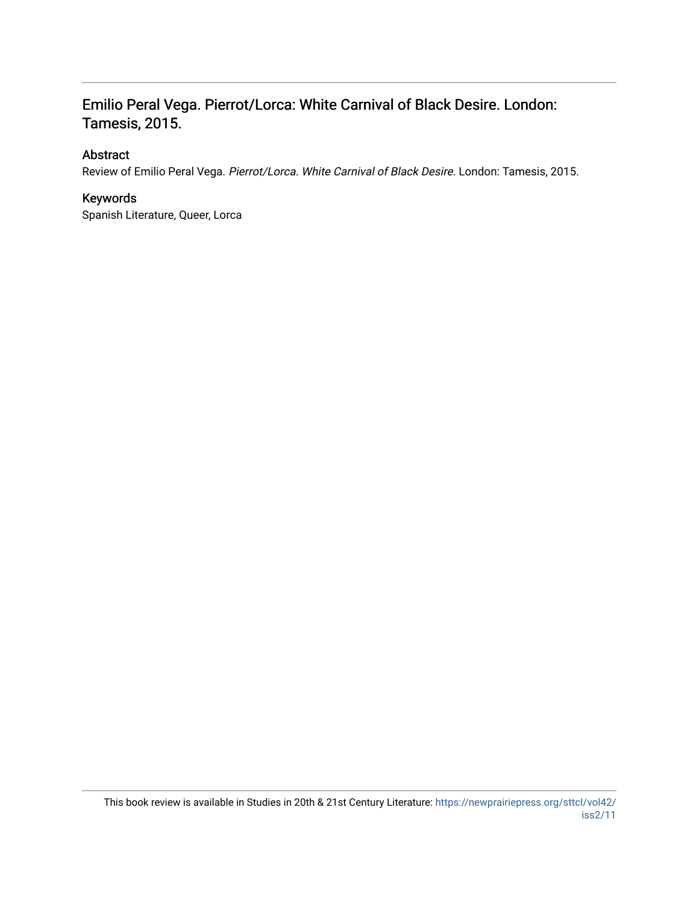## Emilio Peral Vega. Pierrot/Lorca: White Carnival of Black Desire. London: Tamesis, 2015.

#### Abstract

Review of Emilio Peral Vega. Pierrot/Lorca. White Carnival of Black Desire. London: Tamesis, 2015.

### Keywords

Spanish Literature, Queer, Lorca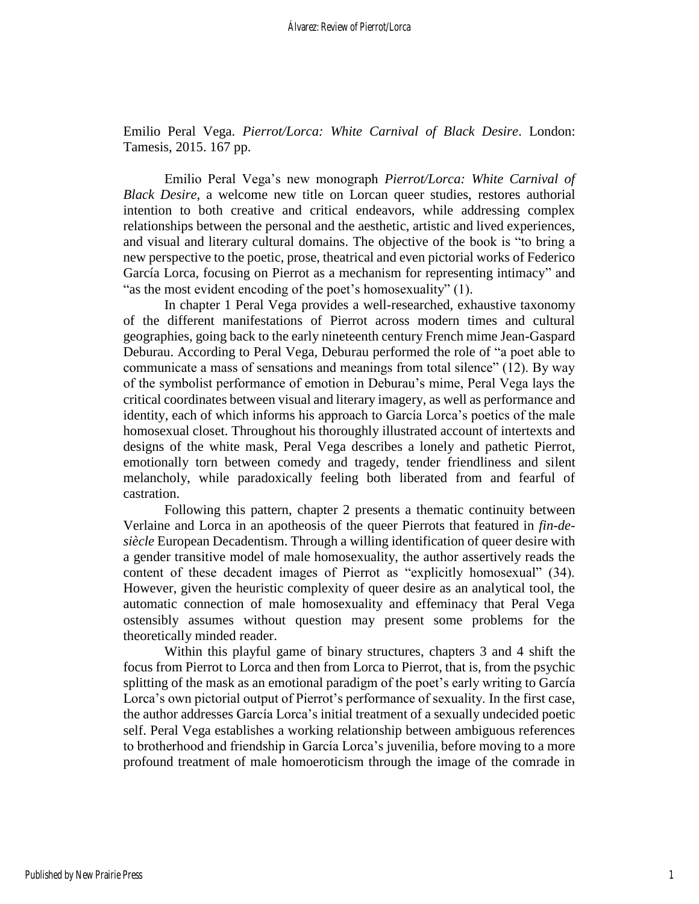Emilio Peral Vega. *Pierrot/Lorca: White Carnival of Black Desire*. London: Tamesis, 2015. 167 pp.

Emilio Peral Vega's new monograph *Pierrot/Lorca: White Carnival of Black Desire*, a welcome new title on Lorcan queer studies, restores authorial intention to both creative and critical endeavors, while addressing complex relationships between the personal and the aesthetic, artistic and lived experiences, and visual and literary cultural domains. The objective of the book is "to bring a new perspective to the poetic, prose, theatrical and even pictorial works of Federico García Lorca, focusing on Pierrot as a mechanism for representing intimacy" and "as the most evident encoding of the poet's homosexuality" (1).

In chapter 1 Peral Vega provides a well-researched, exhaustive taxonomy of the different manifestations of Pierrot across modern times and cultural geographies, going back to the early nineteenth century French mime Jean-Gaspard Deburau. According to Peral Vega, Deburau performed the role of "a poet able to communicate a mass of sensations and meanings from total silence" (12). By way of the symbolist performance of emotion in Deburau's mime, Peral Vega lays the critical coordinates between visual and literary imagery, as well as performance and identity, each of which informs his approach to García Lorca's poetics of the male homosexual closet. Throughout his thoroughly illustrated account of intertexts and designs of the white mask, Peral Vega describes a lonely and pathetic Pierrot, emotionally torn between comedy and tragedy, tender friendliness and silent melancholy, while paradoxically feeling both liberated from and fearful of castration.

Following this pattern, chapter 2 presents a thematic continuity between Verlaine and Lorca in an apotheosis of the queer Pierrots that featured in *fin-desiècle* European Decadentism. Through a willing identification of queer desire with a gender transitive model of male homosexuality, the author assertively reads the content of these decadent images of Pierrot as "explicitly homosexual" (34). However, given the heuristic complexity of queer desire as an analytical tool, the automatic connection of male homosexuality and effeminacy that Peral Vega ostensibly assumes without question may present some problems for the theoretically minded reader.

Within this playful game of binary structures, chapters 3 and 4 shift the focus from Pierrot to Lorca and then from Lorca to Pierrot, that is, from the psychic splitting of the mask as an emotional paradigm of the poet's early writing to García Lorca's own pictorial output of Pierrot's performance of sexuality. In the first case, the author addresses García Lorca's initial treatment of a sexually undecided poetic self. Peral Vega establishes a working relationship between ambiguous references to brotherhood and friendship in García Lorca's juvenilia, before moving to a more profound treatment of male homoeroticism through the image of the comrade in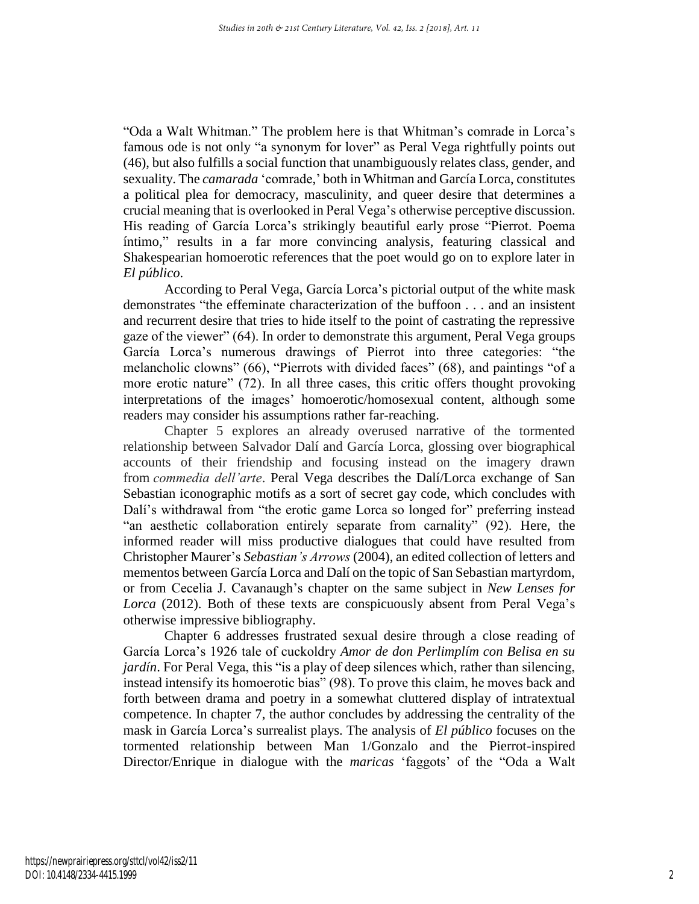"Oda a Walt Whitman." The problem here is that Whitman's comrade in Lorca's famous ode is not only "a synonym for lover" as Peral Vega rightfully points out (46), but also fulfills a social function that unambiguously relates class, gender, and sexuality. The *camarada* 'comrade,' both in Whitman and García Lorca, constitutes a political plea for democracy, masculinity, and queer desire that determines a crucial meaning that is overlooked in Peral Vega's otherwise perceptive discussion. His reading of García Lorca's strikingly beautiful early prose "Pierrot. Poema íntimo," results in a far more convincing analysis, featuring classical and Shakespearian homoerotic references that the poet would go on to explore later in *El público*.

According to Peral Vega, García Lorca's pictorial output of the white mask demonstrates "the effeminate characterization of the buffoon . . . and an insistent and recurrent desire that tries to hide itself to the point of castrating the repressive gaze of the viewer" (64). In order to demonstrate this argument, Peral Vega groups García Lorca's numerous drawings of Pierrot into three categories: "the melancholic clowns" (66), "Pierrots with divided faces" (68), and paintings "of a more erotic nature" (72). In all three cases, this critic offers thought provoking interpretations of the images' homoerotic/homosexual content, although some readers may consider his assumptions rather far-reaching.

Chapter 5 explores an already overused narrative of the tormented relationship between Salvador Dalí and García Lorca, glossing over biographical accounts of their friendship and focusing instead on the imagery drawn from *commedia dell'arte*. Peral Vega describes the Dalí/Lorca exchange of San Sebastian iconographic motifs as a sort of secret gay code, which concludes with Dalí's withdrawal from "the erotic game Lorca so longed for" preferring instead "an aesthetic collaboration entirely separate from carnality" (92). Here, the informed reader will miss productive dialogues that could have resulted from Christopher Maurer's *Sebastian's Arrows* (2004), an edited collection of letters and mementos between García Lorca and Dalí on the topic of San Sebastian martyrdom, or from Cecelia J. Cavanaugh's chapter on the same subject in *New Lenses for Lorca* (2012). Both of these texts are conspicuously absent from Peral Vega's otherwise impressive bibliography.

Chapter 6 addresses frustrated sexual desire through a close reading of García Lorca's 1926 tale of cuckoldry *Amor de don Perlimplím con Belisa en su jardín*. For Peral Vega, this "is a play of deep silences which, rather than silencing, instead intensify its homoerotic bias" (98). To prove this claim, he moves back and forth between drama and poetry in a somewhat cluttered display of intratextual competence. In chapter 7, the author concludes by addressing the centrality of the mask in García Lorca's surrealist plays. The analysis of *El público* focuses on the tormented relationship between Man 1/Gonzalo and the Pierrot-inspired Director/Enrique in dialogue with the *maricas* 'faggots' of the "Oda a Walt